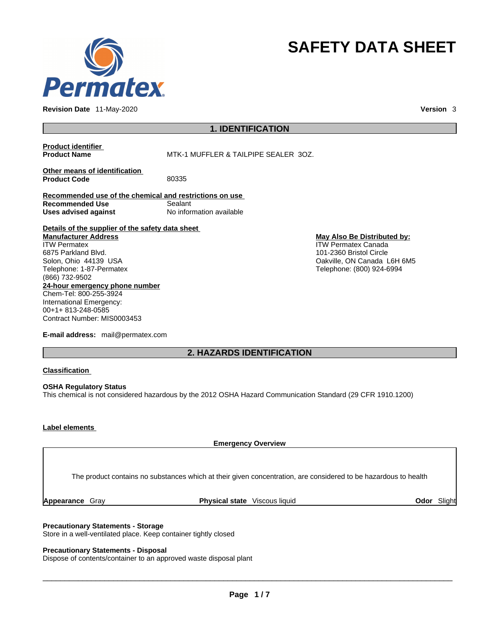

**Revision Date** 11-May-2020 **Version** 3

# **SAFETY DATA SHEET**

# **1. IDENTIFICATION**

**Product identifier**

**MTK-1 MUFFLER & TAILPIPE SEALER 3OZ.** 

**Other means of identification**<br>**Product Code** 80335 **Product Code** 

**Recommended use of the chemical and restrictions on use Recommended Use** Sealant **Uses advised against** No information available

**Details of the supplier of the safety data sheet 24-hour emergency phone number** Chem-Tel: 800-255-3924 International Emergency: **Manufacturer Address** ITW Permatex 6875 Parkland Blvd. Solon, Ohio 44139 USA Telephone: 1-87-Permatex (866) 732-9502

00+1+ 813-248-0585 Contract Number: MIS0003453

**E-mail address:** mail@permatex.com

#### **May Also Be Distributed by:** ITW Permatex Canada 101-2360 Bristol Circle Oakville, ON Canada L6H 6M5 Telephone: (800) 924-6994

**2. HAZARDS IDENTIFICATION** 

#### **Classification**

**OSHA Regulatory Status** This chemical is not considered hazardous by the 2012 OSHA Hazard Communication Standard (29 CFR 1910.1200)

## **Label elements**

**Emergency Overview** 

The product contains no substances which at their given concentration, are considered to be hazardous to health

**Appearance** Gray **Physical state** Viscous liquid **Odor** Slight

#### **Precautionary Statements - Storage**

Store in a well-ventilated place. Keep container tightly closed

### **Precautionary Statements - Disposal**

Dispose of contents/container to an approved waste disposal plant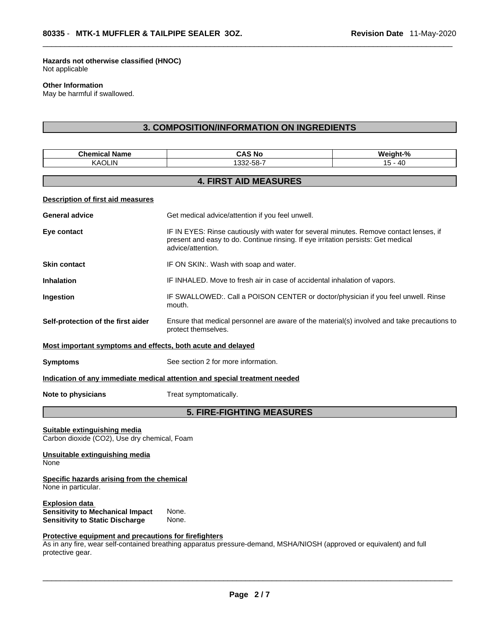**Hazards not otherwise classified (HNOC)**  Not applicable

#### **Other Information**

May be harmful if swallowed.

# **3. COMPOSITION/INFORMATION ON INGREDIENTS**

| <b>Chemical Name</b>                                                                                       | <b>CAS No</b>                                                                                                                                                                                    | Weight-%  |
|------------------------------------------------------------------------------------------------------------|--------------------------------------------------------------------------------------------------------------------------------------------------------------------------------------------------|-----------|
| <b>KAOLIN</b>                                                                                              | 1332-58-7                                                                                                                                                                                        | $15 - 40$ |
|                                                                                                            | <b>4. FIRST AID MEASURES</b>                                                                                                                                                                     |           |
| <b>Description of first aid measures</b>                                                                   |                                                                                                                                                                                                  |           |
| <b>General advice</b>                                                                                      | Get medical advice/attention if you feel unwell.                                                                                                                                                 |           |
| Eye contact                                                                                                | IF IN EYES: Rinse cautiously with water for several minutes. Remove contact lenses, if<br>present and easy to do. Continue rinsing. If eye irritation persists: Get medical<br>advice/attention. |           |
| <b>Skin contact</b>                                                                                        | IF ON SKIN:. Wash with soap and water.                                                                                                                                                           |           |
| <b>Inhalation</b>                                                                                          | IF INHALED. Move to fresh air in case of accidental inhalation of vapors.                                                                                                                        |           |
| Ingestion                                                                                                  | IF SWALLOWED:. Call a POISON CENTER or doctor/physician if you feel unwell. Rinse<br>mouth.                                                                                                      |           |
| Self-protection of the first aider                                                                         | Ensure that medical personnel are aware of the material(s) involved and take precautions to<br>protect themselves.                                                                               |           |
| Most important symptoms and effects, both acute and delayed                                                |                                                                                                                                                                                                  |           |
| <b>Symptoms</b>                                                                                            | See section 2 for more information.                                                                                                                                                              |           |
|                                                                                                            | Indication of any immediate medical attention and special treatment needed                                                                                                                       |           |
| Note to physicians                                                                                         | Treat symptomatically.                                                                                                                                                                           |           |
|                                                                                                            | <b>5. FIRE-FIGHTING MEASURES</b>                                                                                                                                                                 |           |
| Suitable extinguishing media<br>Carbon dioxide (CO2), Use dry chemical, Foam                               |                                                                                                                                                                                                  |           |
| Unsuitable extinguishing media<br>None                                                                     |                                                                                                                                                                                                  |           |
| Specific hazards arising from the chemical<br>None in particular.                                          |                                                                                                                                                                                                  |           |
| <b>Explosion data</b><br><b>Sensitivity to Mechanical Impact</b><br><b>Sensitivity to Static Discharge</b> | None.<br>None.                                                                                                                                                                                   |           |
| Protective equipment and precautions for firefighters<br>protective gear.                                  | As in any fire, wear self-contained breathing apparatus pressure-demand, MSHA/NIOSH (approved or equivalent) and full                                                                            |           |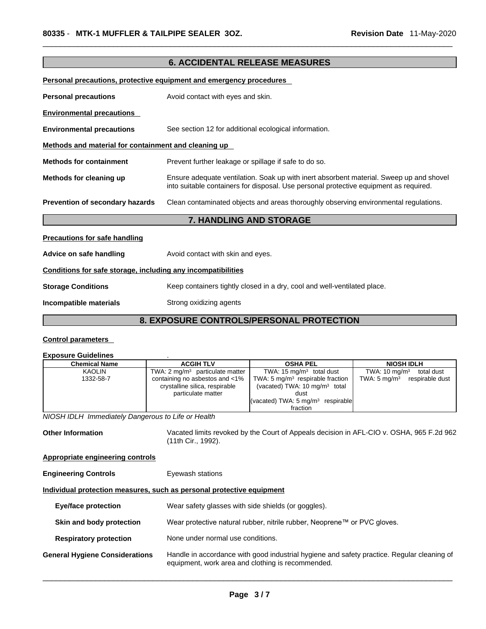| <u>Personal precautions, protective equipment and emergency procedures</u> |                                                                                                                                                                                  |  |  |  |
|----------------------------------------------------------------------------|----------------------------------------------------------------------------------------------------------------------------------------------------------------------------------|--|--|--|
| <b>Personal precautions</b>                                                | Avoid contact with eyes and skin.                                                                                                                                                |  |  |  |
| <b>Environmental precautions</b>                                           |                                                                                                                                                                                  |  |  |  |
| <b>Environmental precautions</b>                                           | See section 12 for additional ecological information.                                                                                                                            |  |  |  |
| Methods and material for containment and cleaning up                       |                                                                                                                                                                                  |  |  |  |
| <b>Methods for containment</b>                                             | Prevent further leakage or spillage if safe to do so.                                                                                                                            |  |  |  |
| Methods for cleaning up                                                    | Ensure adequate ventilation. Soak up with inert absorbent material. Sweep up and shovel<br>into suitable containers for disposal. Use personal protective equipment as required. |  |  |  |
| Prevention of secondary hazards                                            | Clean contaminated objects and areas thoroughly observing environmental regulations.                                                                                             |  |  |  |
| 7. HANDLING AND STORAGE                                                    |                                                                                                                                                                                  |  |  |  |
| <b>Precautions for safe handling</b>                                       |                                                                                                                                                                                  |  |  |  |
| Advice on safe handling                                                    | Avoid contact with skin and eyes.                                                                                                                                                |  |  |  |
| Conditions for safe storage, including any incompatibilities               |                                                                                                                                                                                  |  |  |  |
| <b>Storage Conditions</b>                                                  | Keep containers tightly closed in a dry, cool and well-ventilated place.                                                                                                         |  |  |  |
| Incompatible materials                                                     | Strong oxidizing agents                                                                                                                                                          |  |  |  |
| <u>O EVROCURE CONTROLOMERCONAL RROTECTIONI</u>                             |                                                                                                                                                                                  |  |  |  |

**6. ACCIDENTAL RELEASE MEASURES** 

# **8. EXPOSURE CONTROLS/PERSONAL PROTECTION**

## **Control parameters**

# **Exposure Guidelines** .

| <b>Chemical Name</b> | <b>ACGIH TLV</b>                                                                       | <b>OSHA PEL</b>                                                                                                                                    | <b>NIOSH IDLH</b>                          |
|----------------------|----------------------------------------------------------------------------------------|----------------------------------------------------------------------------------------------------------------------------------------------------|--------------------------------------------|
| <b>KAOLIN</b>        | TWA: $2 \text{ mq/m}^3$ particulate matter                                             | TWA: 15 $mq/m3$ total dust                                                                                                                         | TWA: $10 \text{ mg/m}^3$<br>total dust     |
| 1332-58-7            | containing no asbestos and <1%<br>crystalline silica, respirable<br>particulate matter | TWA: 5 $mq/m3$ respirable fraction<br>(vacated) TWA: $10 \text{ mg/m}^3$ total<br>dust<br>(vacated) TWA: $5 \text{ mg/m}^3$ respirable<br>fraction | TWA: $5 \text{ mg/m}^3$<br>respirable dust |

*NIOSH IDLH Immediately Dangerous to Life or Health* 

Other Information Vacated limits revoked by the Court of Appeals decision in AFL-CIO v. OSHA, 965 F.2d 962 (11th Cir., 1992).

**Appropriate engineering controls**

**Engineering Controls Eyewash stations** 

# **Individual protection measures, such as personal protective equipment**

| Eye/face protection                   | Wear safety glasses with side shields (or goggles).                                                                                             |
|---------------------------------------|-------------------------------------------------------------------------------------------------------------------------------------------------|
| Skin and body protection              | Wear protective natural rubber, nitrile rubber, Neoprene™ or PVC gloves.                                                                        |
| <b>Respiratory protection</b>         | None under normal use conditions.                                                                                                               |
| <b>General Hygiene Considerations</b> | Handle in accordance with good industrial hygiene and safety practice. Regular cleaning of<br>equipment, work area and clothing is recommended. |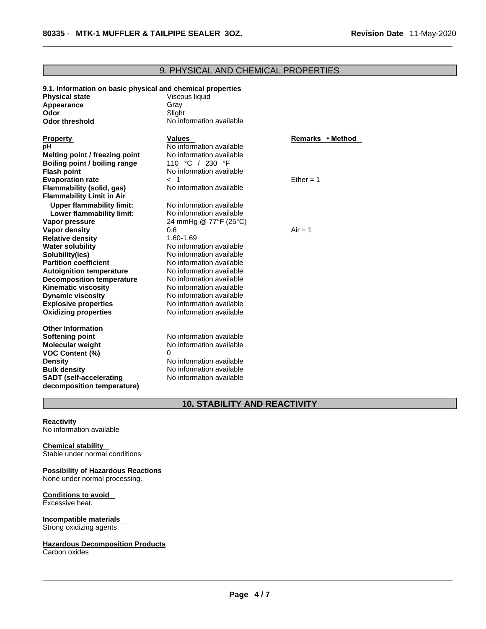| 9.1. Information on basic physical and chemical properties<br><b>Physical state</b> | Viscous liquid           |                  |
|-------------------------------------------------------------------------------------|--------------------------|------------------|
| Appearance                                                                          | Gray                     |                  |
| Odor                                                                                | Slight                   |                  |
| <b>Odor threshold</b>                                                               | No information available |                  |
| <b>Property</b>                                                                     | <b>Values</b>            | Remarks • Method |
| рH                                                                                  | No information available |                  |
| Melting point / freezing point                                                      | No information available |                  |
| Boiling point / boiling range                                                       | 110 °C / 230 °F          |                  |
| <b>Flash point</b>                                                                  | No information available |                  |
| <b>Evaporation rate</b>                                                             | < 1                      | Ether = $1$      |
| Flammability (solid, gas)                                                           | No information available |                  |
| <b>Flammability Limit in Air</b>                                                    |                          |                  |
| <b>Upper flammability limit:</b>                                                    | No information available |                  |
| Lower flammability limit:                                                           | No information available |                  |
| Vapor pressure                                                                      | 24 mmHg @ 77°F (25°C)    |                  |
| <b>Vapor density</b>                                                                | 0.6                      | $Air = 1$        |
| <b>Relative density</b>                                                             | 1.60-1.69                |                  |
| <b>Water solubility</b>                                                             | No information available |                  |
| Solubility(ies)                                                                     | No information available |                  |
| <b>Partition coefficient</b>                                                        | No information available |                  |
| <b>Autoignition temperature</b>                                                     | No information available |                  |
| <b>Decomposition temperature</b>                                                    | No information available |                  |
| <b>Kinematic viscosity</b>                                                          | No information available |                  |
| <b>Dynamic viscosity</b>                                                            | No information available |                  |
| <b>Explosive properties</b>                                                         | No information available |                  |
| <b>Oxidizing properties</b>                                                         | No information available |                  |
| <b>Other Information</b>                                                            |                          |                  |
| <b>Softening point</b>                                                              | No information available |                  |
| <b>Molecular weight</b>                                                             | No information available |                  |
| <b>VOC Content (%)</b>                                                              | 0                        |                  |
| <b>Density</b>                                                                      | No information available |                  |
| <b>Bulk density</b>                                                                 | No information available |                  |
| <b>SADT</b> (self-accelerating                                                      | No information available |                  |
| decomposition temperature)                                                          |                          |                  |

# 9. PHYSICAL AND CHEMICAL PROPERTIES

# **10. STABILITY AND REACTIVITY**

#### **Reactivity**

No information available

#### **Chemical stability**  Stable under normal conditions

# **Possibility of Hazardous Reactions**

None under normal processing.

#### **Conditions to avoid**  Excessive heat.

**Incompatible materials**  Strong oxidizing agents

# **Hazardous Decomposition Products**

Carbon oxides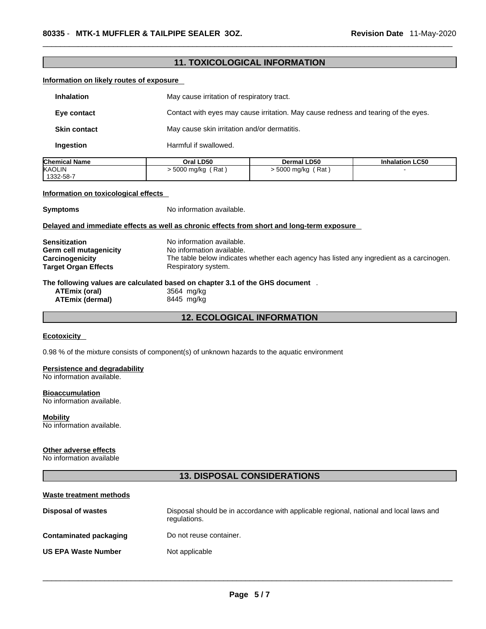|                                                                   | <b>11. TOXICOLOGICAL INFORMATION</b>                                                         |                                                                                    |                        |
|-------------------------------------------------------------------|----------------------------------------------------------------------------------------------|------------------------------------------------------------------------------------|------------------------|
| Information on likely routes of exposure                          |                                                                                              |                                                                                    |                        |
| <b>Inhalation</b>                                                 | May cause irritation of respiratory tract.                                                   |                                                                                    |                        |
| Eye contact                                                       |                                                                                              | Contact with eyes may cause irritation. May cause redness and tearing of the eyes. |                        |
| <b>Skin contact</b>                                               | May cause skin irritation and/or dermatitis.                                                 |                                                                                    |                        |
| Ingestion                                                         | Harmful if swallowed.                                                                        |                                                                                    |                        |
| <b>Chemical Name</b>                                              | Oral LD50                                                                                    | Dermal LD50                                                                        | <b>Inhalation LC50</b> |
| <b>KAOLIN</b><br>1332-58-7                                        | $> 5000$ mg/kg (Rat)                                                                         | $> 5000$ mg/kg (Rat)                                                               |                        |
| Information on toxicological effects                              |                                                                                              |                                                                                    |                        |
| <b>Symptoms</b>                                                   | No information available.                                                                    |                                                                                    |                        |
|                                                                   | Delayed and immediate effects as well as chronic effects from short and long-term exposure   |                                                                                    |                        |
| <b>Sensitization</b>                                              | No information available.                                                                    |                                                                                    |                        |
| <b>Germ cell mutagenicity</b>                                     | No information available.                                                                    |                                                                                    |                        |
| Carcinogenicity                                                   | The table below indicates whether each agency has listed any ingredient as a carcinogen.     |                                                                                    |                        |
| <b>Target Organ Effects</b>                                       | Respiratory system.                                                                          |                                                                                    |                        |
|                                                                   | The following values are calculated based on chapter 3.1 of the GHS document.                |                                                                                    |                        |
| <b>ATEmix (oral)</b>                                              | 3564 mg/kg                                                                                   |                                                                                    |                        |
| <b>ATEmix (dermal)</b>                                            | 8445 mg/kg                                                                                   |                                                                                    |                        |
|                                                                   | <b>12. ECOLOGICAL INFORMATION</b>                                                            |                                                                                    |                        |
| <b>Ecotoxicity</b>                                                |                                                                                              |                                                                                    |                        |
|                                                                   |                                                                                              |                                                                                    |                        |
|                                                                   | 0.98 % of the mixture consists of component(s) of unknown hazards to the aquatic environment |                                                                                    |                        |
| <b>Persistence and degradability</b><br>No information available. |                                                                                              |                                                                                    |                        |
| <b>Bioaccumulation</b><br>No information available.               |                                                                                              |                                                                                    |                        |
| <b>Mobility</b><br>No information available.                      |                                                                                              |                                                                                    |                        |

#### **Other adverse effects**

No information available

# **13. DISPOSAL CONSIDERATIONS**

| Waste treatment methods    |                                                                                                        |
|----------------------------|--------------------------------------------------------------------------------------------------------|
| Disposal of wastes         | Disposal should be in accordance with applicable regional, national and local laws and<br>regulations. |
| Contaminated packaging     | Do not reuse container.                                                                                |
| <b>US EPA Waste Number</b> | Not applicable                                                                                         |
|                            |                                                                                                        |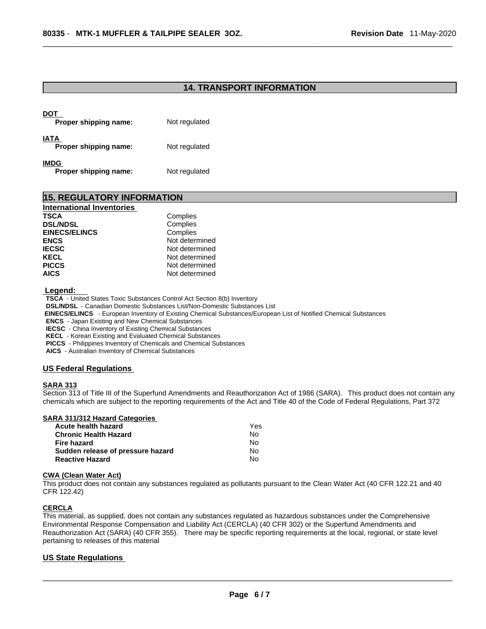## **14. TRANSPORT INFORMATION**

| DOT<br>Proper shipping name:         | Not regulated |
|--------------------------------------|---------------|
| IATA<br>Proper shipping name:        | Not regulated |
| <b>IMDG</b><br>Proper shipping name: | Not regulated |

| <b>15. REGULATORY INFORMATION</b> |                |  |
|-----------------------------------|----------------|--|
| <b>International Inventories</b>  |                |  |
| <b>TSCA</b>                       | Complies       |  |
| <b>DSL/NDSL</b>                   | Complies       |  |
| <b>EINECS/ELINCS</b>              | Complies       |  |
| <b>ENCS</b>                       | Not determined |  |
| <b>IECSC</b>                      | Not determined |  |
| <b>KECL</b>                       | Not determined |  |
| <b>PICCS</b>                      | Not determined |  |
| <b>AICS</b>                       | Not determined |  |

 **Legend:** 

**TSCA** - United States Toxic Substances Control Act Section 8(b) Inventory

**DSL/NDSL** - Canadian Domestic Substances List/Non-Domestic Substances List

 **EINECS/ELINCS** - European Inventory of Existing Chemical Substances/European List of Notified Chemical Substances

**ENCS** - Japan Existing and New Chemical Substances

**IECSC** - China Inventory of Existing Chemical Substances

**KECL** - Korean Existing and Evaluated Chemical Substances

**PICCS** - Philippines Inventory of Chemicals and Chemical Substances

**AICS** - Australian Inventory of Chemical Substances

#### **US Federal Regulations**

#### **SARA 313**

Section 313 of Title III of the Superfund Amendments and Reauthorization Act of 1986 (SARA). This product does not contain any chemicals which are subject to the reporting requirements of the Act and Title 40 of the Code of Federal Regulations, Part 372

#### **SARA 311/312 Hazard Categories**

| Acute health hazard               | Yes |  |
|-----------------------------------|-----|--|
| <b>Chronic Health Hazard</b>      | N٥  |  |
| Fire hazard                       | N٥  |  |
| Sudden release of pressure hazard | N٥  |  |
| <b>Reactive Hazard</b>            | N٥  |  |

#### **CWA** (Clean Water Act)

This product does not contain any substances regulated as pollutants pursuant to the Clean Water Act (40 CFR 122.21 and 40 CFR 122.42)

#### **CERCLA**

This material, as supplied, does not contain any substances regulated as hazardous substances under the Comprehensive Environmental Response Compensation and Liability Act (CERCLA) (40 CFR 302) or the Superfund Amendments and Reauthorization Act (SARA) (40 CFR 355). There may be specific reporting requirements at the local, regional, or state level pertaining to releases of this material

#### **US State Regulations**